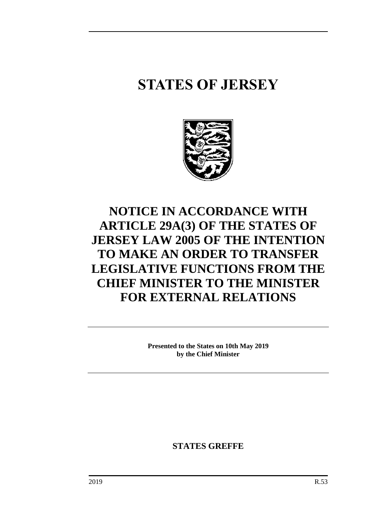# **STATES OF JERSEY**



## **NOTICE IN ACCORDANCE WITH ARTICLE 29A(3) OF THE STATES OF JERSEY LAW 2005 OF THE INTENTION TO MAKE AN ORDER TO TRANSFER LEGISLATIVE FUNCTIONS FROM THE CHIEF MINISTER TO THE MINISTER FOR EXTERNAL RELATIONS**

**Presented to the States on 10th May 2019 by the Chief Minister**

**STATES GREFFE**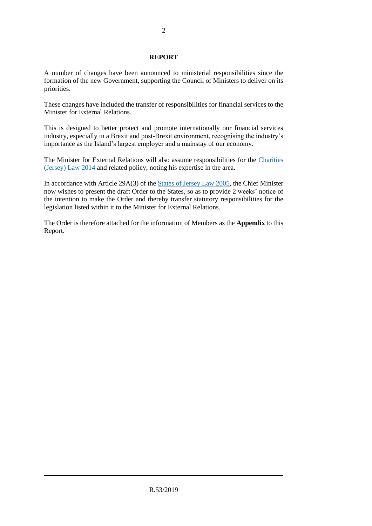#### **REPORT**

A number of changes have been announced to ministerial responsibilities since the formation of the new Government, supporting the Council of Ministers to deliver on its priorities.

These changes have included the transfer of responsibilities for financial services to the Minister for External Relations.

This is designed to better protect and promote internationally our financial services industry, especially in a Brexit and post-Brexit environment, recognising the industry's importance as the Island's largest employer and a mainstay of our economy.

The Minister for External Relations will also assume responsibilities for the [Charities](https://www.jerseylaw.je/laws/revised/Pages/15.070.aspx)  [\(Jersey\) Law](https://www.jerseylaw.je/laws/revised/Pages/15.070.aspx) 2014 and related policy, noting his expertise in the area.

In accordance with Article 29A(3) of the [States of Jersey Law](https://www.jerseylaw.je/laws/revised/Pages/16.800.aspx) 2005, the Chief Minister now wishes to present the draft Order to the States, so as to provide 2 weeks' notice of the intention to make the Order and thereby transfer statutory responsibilities for the legislation listed within it to the Minister for External Relations.

The Order is therefore attached for the information of Members as the **Appendix** to this Report.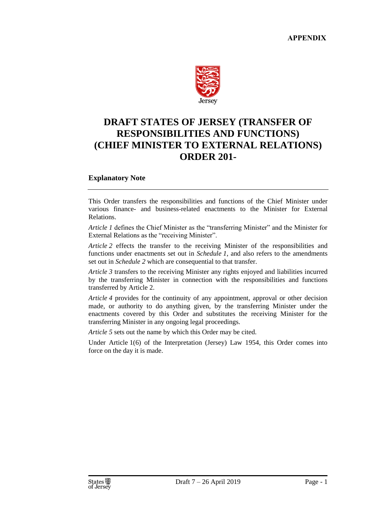

### **DRAFT STATES OF JERSEY (TRANSFER OF RESPONSIBILITIES AND FUNCTIONS) (CHIEF MINISTER TO EXTERNAL RELATIONS) ORDER 201-**

#### **Explanatory Note**

This Order transfers the responsibilities and functions of the Chief Minister under various finance- and business-related enactments to the Minister for External Relations.

*Article 1* defines the Chief Minister as the "transferring Minister" and the Minister for External Relations as the "receiving Minister".

*Article 2* effects the transfer to the receiving Minister of the responsibilities and functions under enactments set out in *Schedule 1*, and also refers to the amendments set out in *Schedule 2* which are consequential to that transfer.

*Article 3* transfers to the receiving Minister any rights enjoyed and liabilities incurred by the transferring Minister in connection with the responsibilities and functions transferred by Article 2.

*Article 4* provides for the continuity of any appointment, approval or other decision made, or authority to do anything given, by the transferring Minister under the enactments covered by this Order and substitutes the receiving Minister for the transferring Minister in any ongoing legal proceedings.

*Article 5* sets out the name by which this Order may be cited.

Under Article 1(6) of the Interpretation (Jersey) Law 1954, this Order comes into force on the day it is made.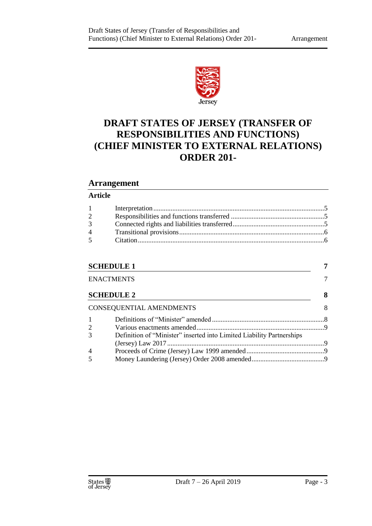

## **DRAFT STATES OF JERSEY (TRANSFER OF RESPONSIBILITIES AND FUNCTIONS) (CHIEF MINISTER TO EXTERNAL RELATIONS) ORDER 201-**

#### **Arrangement**

#### **Article**

| $1 \qquad \qquad$ |  |
|-------------------|--|
| $\overline{2}$    |  |
| 3 <sup>7</sup>    |  |
| $4\degree$        |  |
|                   |  |
|                   |  |

#### **[SCHEDULE 1](#page-8-0) 7**

| <b>ENACTMENTS</b> |                                                                       |   |
|-------------------|-----------------------------------------------------------------------|---|
|                   | <b>SCHEDULE 2</b>                                                     | 8 |
|                   | <b>CONSEQUENTIAL AMENDMENTS</b>                                       | 8 |
|                   |                                                                       |   |
| 2                 |                                                                       |   |
| 3                 | Definition of "Minister" inserted into Limited Liability Partnerships |   |
|                   |                                                                       |   |
| $\overline{4}$    |                                                                       |   |
| 5                 |                                                                       |   |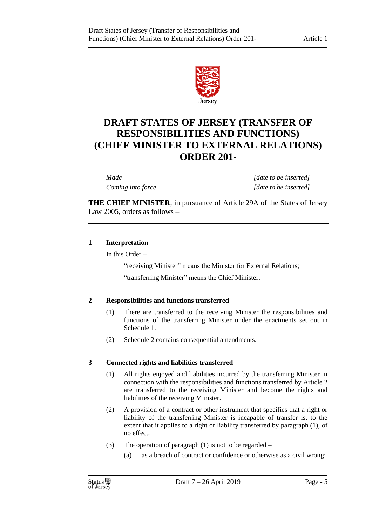

## **DRAFT STATES OF JERSEY (TRANSFER OF RESPONSIBILITIES AND FUNCTIONS) (CHIEF MINISTER TO EXTERNAL RELATIONS) ORDER 201-**

*Made [date to be inserted] Coming into force [date to be inserted]*

**THE CHIEF MINISTER**, in pursuance of Article 29A of the States of Jersey Law 2005, orders as follows –

#### <span id="page-6-0"></span>**1 Interpretation**

In this Order –

"receiving Minister" means the Minister for External Relations;

"transferring Minister" means the Chief Minister.

#### <span id="page-6-1"></span>**2 Responsibilities and functions transferred**

- (1) There are transferred to the receiving Minister the responsibilities and functions of the transferring Minister under the enactments set out in Schedule 1.
- (2) Schedule 2 contains consequential amendments.

#### <span id="page-6-2"></span>**3 Connected rights and liabilities transferred**

- (1) All rights enjoyed and liabilities incurred by the transferring Minister in connection with the responsibilities and functions transferred by Article 2 are transferred to the receiving Minister and become the rights and liabilities of the receiving Minister.
- (2) A provision of a contract or other instrument that specifies that a right or liability of the transferring Minister is incapable of transfer is, to the extent that it applies to a right or liability transferred by paragraph (1), of no effect.
- (3) The operation of paragraph (1) is not to be regarded
	- (a) as a breach of contract or confidence or otherwise as a civil wrong;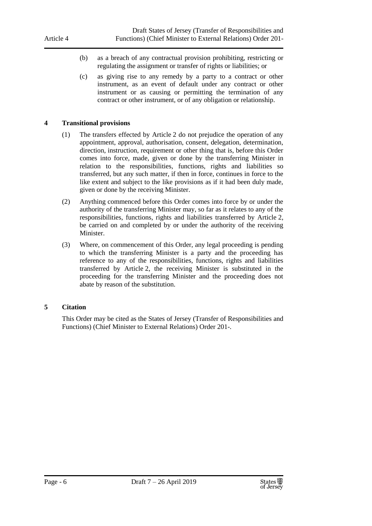- (b) as a breach of any contractual provision prohibiting, restricting or regulating the assignment or transfer of rights or liabilities; or
- (c) as giving rise to any remedy by a party to a contract or other instrument, as an event of default under any contract or other instrument or as causing or permitting the termination of any contract or other instrument, or of any obligation or relationship.

#### <span id="page-7-0"></span>**4 Transitional provisions**

- (1) The transfers effected by Article 2 do not prejudice the operation of any appointment, approval, authorisation, consent, delegation, determination, direction, instruction, requirement or other thing that is, before this Order comes into force, made, given or done by the transferring Minister in relation to the responsibilities, functions, rights and liabilities so transferred, but any such matter, if then in force, continues in force to the like extent and subject to the like provisions as if it had been duly made, given or done by the receiving Minister.
- (2) Anything commenced before this Order comes into force by or under the authority of the transferring Minister may, so far as it relates to any of the responsibilities, functions, rights and liabilities transferred by Article 2, be carried on and completed by or under the authority of the receiving Minister.
- (3) Where, on commencement of this Order, any legal proceeding is pending to which the transferring Minister is a party and the proceeding has reference to any of the responsibilities, functions, rights and liabilities transferred by Article 2, the receiving Minister is substituted in the proceeding for the transferring Minister and the proceeding does not abate by reason of the substitution.

#### <span id="page-7-1"></span>**5 Citation**

This Order may be cited as the States of Jersey (Transfer of Responsibilities and Functions) (Chief Minister to External Relations) Order 201-.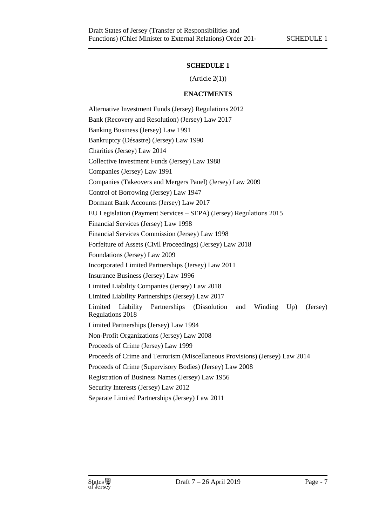#### **SCHEDULE 1**

 $(A<sup>rt</sup>icle 2(1))$ 

#### **ENACTMENTS**

<span id="page-8-1"></span><span id="page-8-0"></span>Alternative Investment Funds (Jersey) Regulations 2012 Bank (Recovery and Resolution) (Jersey) Law 2017 Banking Business (Jersey) Law 1991 Bankruptcy (Désastre) (Jersey) Law 1990 Charities (Jersey) Law 2014 Collective Investment Funds (Jersey) Law 1988 Companies (Jersey) Law 1991 Companies (Takeovers and Mergers Panel) (Jersey) Law 2009 Control of Borrowing (Jersey) Law 1947 Dormant Bank Accounts (Jersey) Law 2017 EU Legislation (Payment Services – SEPA) (Jersey) Regulations 2015 Financial Services (Jersey) Law 1998 Financial Services Commission (Jersey) Law 1998 Forfeiture of Assets (Civil Proceedings) (Jersey) Law 2018 Foundations (Jersey) Law 2009 Incorporated Limited Partnerships (Jersey) Law 2011 Insurance Business (Jersey) Law 1996 Limited Liability Companies (Jersey) Law 2018 Limited Liability Partnerships (Jersey) Law 2017 Limited Liability Partnerships (Dissolution and Winding Up) (Jersey) Regulations 2018 Limited Partnerships (Jersey) Law 1994 Non-Profit Organizations (Jersey) Law 2008 Proceeds of Crime (Jersey) Law 1999 Proceeds of Crime and Terrorism (Miscellaneous Provisions) (Jersey) Law 2014 Proceeds of Crime (Supervisory Bodies) (Jersey) Law 2008 Registration of Business Names (Jersey) Law 1956 Security Interests (Jersey) Law 2012 Separate Limited Partnerships (Jersey) Law 2011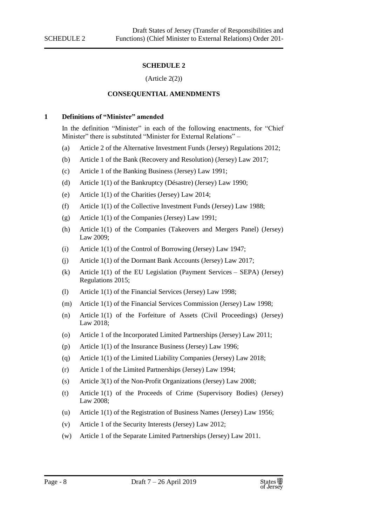#### **SCHEDULE 2**

#### (Article 2(2))

#### **CONSEQUENTIAL AMENDMENTS**

#### <span id="page-9-2"></span><span id="page-9-1"></span><span id="page-9-0"></span>**1 Definitions of "Minister" amended**

In the definition "Minister" in each of the following enactments, for "Chief Minister" there is substituted "Minister for External Relations" –

- (a) Article 2 of the Alternative Investment Funds (Jersey) Regulations 2012;
- (b) Article 1 of the Bank (Recovery and Resolution) (Jersey) Law 2017;
- (c) Article 1 of the Banking Business (Jersey) Law 1991;
- (d) Article 1(1) of the Bankruptcy (Désastre) (Jersey) Law 1990;
- (e) Article 1(1) of the Charities (Jersey) Law 2014;
- (f) Article 1(1) of the Collective Investment Funds (Jersey) Law 1988;
- (g) Article 1(1) of the Companies (Jersey) Law 1991;
- (h) Article 1(1) of the Companies (Takeovers and Mergers Panel) (Jersey) Law 2009;
- (i) Article 1(1) of the Control of Borrowing (Jersey) Law 1947;
- (j) Article 1(1) of the Dormant Bank Accounts (Jersey) Law 2017;
- (k) Article 1(1) of the EU Legislation (Payment Services SEPA) (Jersey) Regulations 2015;
- (l) Article 1(1) of the Financial Services (Jersey) Law 1998;
- (m) Article 1(1) of the Financial Services Commission (Jersey) Law 1998;
- (n) Article 1(1) of the Forfeiture of Assets (Civil Proceedings) (Jersey) Law 2018;
- (o) Article 1 of the Incorporated Limited Partnerships (Jersey) Law 2011;
- (p) Article 1(1) of the Insurance Business (Jersey) Law 1996;
- (q) Article 1(1) of the Limited Liability Companies (Jersey) Law 2018;
- (r) Article 1 of the Limited Partnerships (Jersey) Law 1994;
- (s) Article 3(1) of the Non-Profit Organizations (Jersey) Law 2008;
- (t) Article 1(1) of the Proceeds of Crime (Supervisory Bodies) (Jersey) Law 2008;
- (u) Article 1(1) of the Registration of Business Names (Jersey) Law 1956;
- (v) Article 1 of the Security Interests (Jersey) Law 2012;
- (w) Article 1 of the Separate Limited Partnerships (Jersey) Law 2011.